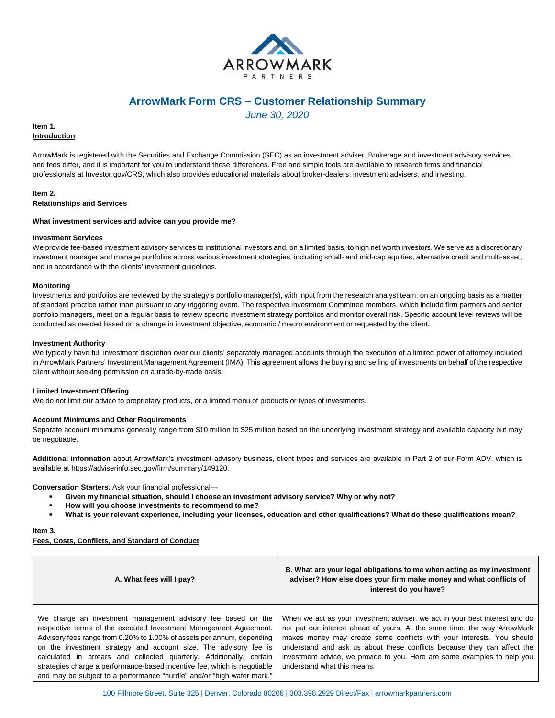

# **ArrowMark Form CRS – Customer Relationship Summary**

*June 30, 2020*

# **Item 1. Introduction**

ArrowMark is registered with the Securities and Exchange Commission (SEC) as an investment adviser. Brokerage and investment advisory services and fees differ, and it is important for you to understand these differences. Free and simple tools are available to research firms and financial professionals at Investor.gov/CRS, which also provides educational materials about broker-dealers, investment advisers, and investing.

#### **Item 2. Relationships and Services**

#### **What investment services and advice can you provide me?**

# **Investment Services**

We provide fee-based investment advisory services to institutional investors and, on a limited basis, to high net worth investors. We serve as a discretionary investment manager and manage portfolios across various investment strategies, including small- and mid-cap equities, alternative credit and multi-asset, and in accordance with the clients' investment guidelines.

# **Monitoring**

Investments and portfolios are reviewed by the strategy's portfolio manager(s), with input from the research analyst team, on an ongoing basis as a matter of standard practice rather than pursuant to any triggering event. The respective Investment Committee members, which include firm partners and senior portfolio managers, meet on a regular basis to review specific investment strategy portfolios and monitor overall risk. Specific account level reviews will be conducted as needed based on a change in investment objective, economic / macro environment or requested by the client.

#### **Investment Authority**

We typically have full investment discretion over our clients' separately managed accounts through the execution of a limited power of attorney included in ArrowMark Partners' Investment Management Agreement (IMA). This agreement allows the buying and selling of investments on behalf of the respective client without seeking permission on a trade-by-trade basis.

# **Limited Investment Offering**

We do not limit our advice to proprietary products, or a limited menu of products or types of investments.

# **Account Minimums and Other Requirements**

Separate account minimums generally range from \$10 million to \$25 million based on the underlying investment strategy and available capacity but may be negotiable.

**Additional information** about ArrowMark's investment advisory business, client types and services are available in Part 2 of our Form ADV, which is available at https://adviserinfo.sec.gov/firm/summary/149120.

**Conversation Starters.** Ask your financial professional—

- **Given my financial situation, should I choose an investment advisory service? Why or why not?**
- **How will you choose investments to recommend to me?**
- **What is your relevant experience, including your licenses, education and other qualifications? What do these qualifications mean?**

**Item 3.** 

**Fees, Costs, Conflicts, and Standard of Conduct**

| A. What fees will I pay?                                                                                                                                                                                                                                                                                                                                                                                                                                                                                      | B. What are your legal obligations to me when acting as my investment<br>adviser? How else does your firm make money and what conflicts of<br>interest do you have?                                                                                                                                                                                                                                                    |
|---------------------------------------------------------------------------------------------------------------------------------------------------------------------------------------------------------------------------------------------------------------------------------------------------------------------------------------------------------------------------------------------------------------------------------------------------------------------------------------------------------------|------------------------------------------------------------------------------------------------------------------------------------------------------------------------------------------------------------------------------------------------------------------------------------------------------------------------------------------------------------------------------------------------------------------------|
| We charge an investment management advisory fee based on the<br>respective terms of the executed Investment Management Agreement.<br>Advisory fees range from 0.20% to 1.00% of assets per annum, depending<br>on the investment strategy and account size. The advisory fee is<br>calculated in arrears and collected quarterly. Additionally, certain<br>strategies charge a performance-based incentive fee, which is negotiable<br>and may be subject to a performance "hurdle" and/or "high water mark." | When we act as your investment adviser, we act in your best interest and do<br>not put our interest ahead of yours. At the same time, the way ArrowMark<br>makes money may create some conflicts with your interests. You should<br>understand and ask us about these conflicts because they can affect the<br>investment advice, we provide to you. Here are some examples to help you<br>understand what this means. |